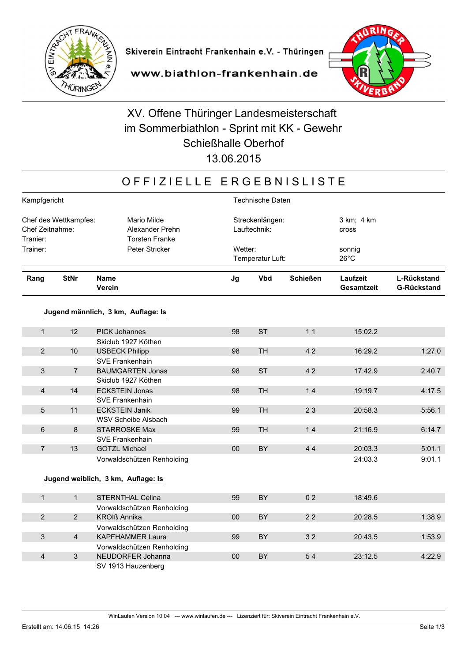



www.biathlon-frankenhain.de

# XV. Offene Thüringer Landesmeisterschaft im Sommerbiathlon - Sprint mit KK - Gewehr **Schießhalle Oberhof**

13.06.2015

### OFFIZIELLE ERGEBNISLISTE

|                                                      | Kampfgericht     |                                                         |                                 | Technische Daten            |                 |                               |                                   |  |  |
|------------------------------------------------------|------------------|---------------------------------------------------------|---------------------------------|-----------------------------|-----------------|-------------------------------|-----------------------------------|--|--|
| Chef des Wettkampfes:<br>Chef Zeitnahme:<br>Tranier: |                  | Mario Milde<br>Alexander Prehn<br><b>Torsten Franke</b> | Streckenlängen:<br>Lauftechnik: |                             |                 | 3 km; 4 km<br>cross           |                                   |  |  |
| Trainer:                                             | Peter Stricker   |                                                         |                                 | Wetter:<br>Temperatur Luft: |                 | sonnig<br>$26^{\circ}$ C      |                                   |  |  |
| Rang                                                 | <b>StNr</b>      | <b>Name</b><br>Verein                                   | Jg                              | <b>Vbd</b>                  | <b>Schießen</b> | Laufzeit<br><b>Gesamtzeit</b> | L-Rückstand<br><b>G-Rückstand</b> |  |  |
|                                                      |                  | Jugend männlich, 3 km, Auflage: Is                      |                                 |                             |                 |                               |                                   |  |  |
| $\mathbf 1$                                          | 12               | <b>PICK Johannes</b>                                    | 98                              | <b>ST</b>                   | 11              | 15:02.2                       |                                   |  |  |
|                                                      |                  | Skiclub 1927 Köthen                                     |                                 |                             |                 |                               |                                   |  |  |
| $\overline{2}$                                       | 10               | <b>USBECK Philipp</b>                                   | 98                              | <b>TH</b>                   | 42              | 16:29.2                       | 1:27.0                            |  |  |
|                                                      |                  | SVE Frankenhain                                         |                                 |                             |                 |                               |                                   |  |  |
| 3                                                    | $\overline{7}$   | <b>BAUMGARTEN Jonas</b>                                 | 98                              | <b>ST</b>                   | 42              | 17:42.9                       | 2:40.7                            |  |  |
|                                                      |                  | Skiclub 1927 Köthen                                     |                                 |                             |                 |                               |                                   |  |  |
| $\overline{\mathbf{4}}$                              | 14               | <b>ECKSTEIN Jonas</b>                                   | 98                              | <b>TH</b>                   | 14              | 19:19.7                       | 4:17.5                            |  |  |
|                                                      |                  | SVE Frankenhain                                         |                                 |                             |                 |                               |                                   |  |  |
| 5                                                    | 11               | <b>ECKSTEIN Janik</b>                                   | 99                              | <b>TH</b>                   | 23              | 20:58.3                       | 5:56.1                            |  |  |
|                                                      |                  | <b>WSV Scheibe Alsbach</b>                              |                                 |                             |                 |                               |                                   |  |  |
| 6                                                    | $\boldsymbol{8}$ | <b>STARROSKE Max</b>                                    | 99                              | <b>TH</b>                   | 14              | 21:16.9                       | 6:14.7                            |  |  |
|                                                      |                  | SVE Frankenhain                                         |                                 |                             |                 |                               |                                   |  |  |
| $\overline{7}$                                       | 13               | <b>GOTZL Michael</b>                                    | 00                              | <b>BY</b>                   | 44              | 20:03.3                       | 5:01.1                            |  |  |
|                                                      |                  | Vorwaldschützen Renholding                              |                                 |                             |                 | 24:03.3                       | 9:01.1                            |  |  |
|                                                      |                  |                                                         |                                 |                             |                 |                               |                                   |  |  |
|                                                      |                  | Jugend weiblich, 3 km, Auflage: Is                      |                                 |                             |                 |                               |                                   |  |  |
| $\mathbf{1}$                                         | $\mathbf{1}$     | <b>STERNTHAL Celina</b>                                 | 99                              | BY                          | 0 <sub>2</sub>  | 18:49.6                       |                                   |  |  |
|                                                      |                  | Vorwaldschützen Renholding                              |                                 |                             |                 |                               |                                   |  |  |
| $\overline{2}$                                       | $\overline{2}$   | <b>KROIß Annika</b>                                     | 00                              | <b>BY</b>                   | 22              | 20:28.5                       | 1:38.9                            |  |  |
|                                                      |                  | Vorwaldschützen Renholding                              |                                 |                             |                 |                               |                                   |  |  |
| 3                                                    | $\overline{4}$   | <b>KAPFHAMMER Laura</b>                                 | 99                              | <b>BY</b>                   | 32              | 20:43.5                       | 1:53.9                            |  |  |
|                                                      |                  | Vorwaldschützen Renholding                              |                                 |                             |                 |                               |                                   |  |  |
| $\overline{4}$                                       | $\mathbf{3}$     | NEUDORFER Johanna                                       | 00                              | <b>BY</b>                   | 54              | 23:12.5                       | 4:22.9                            |  |  |
|                                                      |                  | SV 1913 Hauzenberg                                      |                                 |                             |                 |                               |                                   |  |  |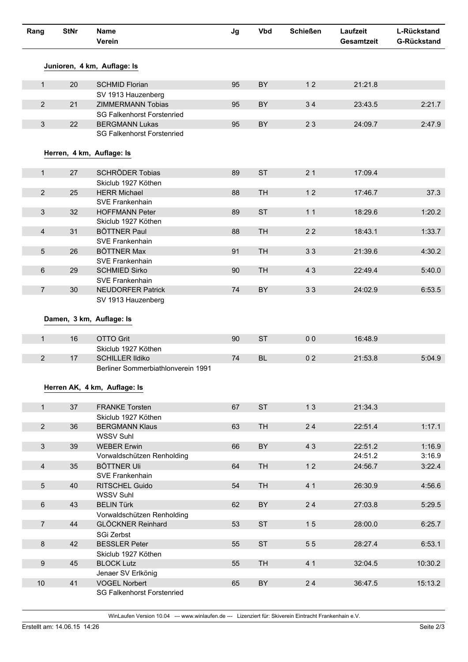| Rang             | <b>StNr</b> | <b>Name</b><br>Verein                        | Jg | <b>Vbd</b> | <b>Schießen</b> | Laufzeit<br>Gesamtzeit | L-Rückstand<br><b>G-Rückstand</b> |
|------------------|-------------|----------------------------------------------|----|------------|-----------------|------------------------|-----------------------------------|
|                  |             | Junioren, 4 km, Auflage: Is                  |    |            |                 |                        |                                   |
| $\mathbf{1}$     | 20          | <b>SCHMID Florian</b>                        | 95 | BY         | 12              | 21:21.8                |                                   |
|                  |             | SV 1913 Hauzenberg                           |    |            |                 |                        |                                   |
| $\overline{2}$   | 21          | <b>ZIMMERMANN Tobias</b>                     | 95 | BY         | 34              | 23:43.5                | 2:21.7                            |
|                  |             | <b>SG Falkenhorst Forstenried</b>            |    |            |                 |                        |                                   |
| $\mathbf{3}$     | 22          | <b>BERGMANN Lukas</b>                        | 95 | BY         | 23              | 24:09.7                | 2:47.9                            |
|                  |             | <b>SG Falkenhorst Forstenried</b>            |    |            |                 |                        |                                   |
|                  |             | Herren, 4 km, Auflage: Is                    |    |            |                 |                        |                                   |
| 1                | 27          | <b>SCHRÖDER Tobias</b>                       | 89 | <b>ST</b>  | 21              | 17:09.4                |                                   |
|                  |             | Skiclub 1927 Köthen                          |    |            |                 |                        |                                   |
| $\overline{2}$   | 25          | <b>HERR Michael</b>                          | 88 | <b>TH</b>  | 12              | 17:46.7                | 37.3                              |
|                  |             | SVE Frankenhain                              |    |            |                 |                        |                                   |
| 3                | 32          | <b>HOFFMANN Peter</b>                        | 89 | <b>ST</b>  | 11              | 18:29.6                | 1:20.2                            |
|                  |             | Skiclub 1927 Köthen                          |    |            |                 |                        |                                   |
| $\overline{4}$   | 31          | <b>BÖTTNER Paul</b><br>SVE Frankenhain       | 88 | <b>TH</b>  | 22              | 18:43.1                | 1:33.7                            |
| 5                | 26          | <b>BÖTTNER Max</b>                           | 91 | <b>TH</b>  | 33              | 21:39.6                | 4:30.2                            |
|                  |             | SVE Frankenhain                              |    |            |                 |                        |                                   |
| 6                | 29          | <b>SCHMIED Sirko</b>                         | 90 | <b>TH</b>  | 43              | 22:49.4                | 5:40.0                            |
|                  |             | SVE Frankenhain                              |    |            |                 |                        |                                   |
| $\overline{7}$   | 30          | <b>NEUDORFER Patrick</b>                     | 74 | BY         | 33              | 24:02.9                | 6:53.5                            |
|                  |             | SV 1913 Hauzenberg                           |    |            |                 |                        |                                   |
|                  |             | Damen, 3 km, Auflage: Is                     |    |            |                 |                        |                                   |
| $\mathbf{1}$     | 16          | <b>OTTO Grit</b>                             | 90 | <b>ST</b>  | 0 <sub>0</sub>  | 16:48.9                |                                   |
|                  |             | Skiclub 1927 Köthen                          |    |            |                 |                        |                                   |
| 2                | 17          | <b>SCHILLER Ildiko</b>                       | 74 | <b>BL</b>  | 02              | 21:53.8                | 5:04.9                            |
|                  |             | Berliner Sommerbiathlonverein 1991           |    |            |                 |                        |                                   |
|                  |             |                                              |    |            |                 |                        |                                   |
|                  |             | Herren AK, 4 km, Auflage: Is                 |    |            |                 |                        |                                   |
|                  |             |                                              |    |            |                 |                        |                                   |
| $\mathbf{1}$     | 37          | <b>FRANKE Torsten</b>                        | 67 | <b>ST</b>  | 13              | 21:34.3                |                                   |
| $\overline{2}$   | 36          | Skiclub 1927 Köthen<br><b>BERGMANN Klaus</b> | 63 | <b>TH</b>  | 24              | 22:51.4                | 1:17.1                            |
|                  |             | <b>WSSV Suhl</b>                             |    |            |                 |                        |                                   |
| $\mathfrak{S}$   | 39          | <b>WEBER Erwin</b>                           | 66 | BY         | 43              | 22:51.2                | 1:16.9                            |
|                  |             | Vorwaldschützen Renholding                   |    |            |                 | 24:51.2                | 3:16.9                            |
| $\overline{4}$   | 35          | <b>BÖTTNER Uli</b>                           | 64 | <b>TH</b>  | 12              | 24:56.7                | 3:22.4                            |
|                  |             | SVE Frankenhain                              |    |            |                 |                        |                                   |
| 5                | 40          | RITSCHEL Guido                               | 54 | <b>TH</b>  | 4 1             | 26:30.9                | 4:56.6                            |
|                  |             | <b>WSSV Suhl</b>                             |    |            |                 |                        |                                   |
| $\,6\,$          | 43          | <b>BELIN Türk</b>                            | 62 | BY         | 24              | 27:03.8                | 5:29.5                            |
|                  |             | Vorwaldschützen Renholding                   |    | <b>ST</b>  |                 |                        |                                   |
| $\overline{7}$   | 44          | <b>GLÖCKNER Reinhard</b>                     | 53 |            | 15              | 28:00.0                | 6:25.7                            |
| $\bf 8$          | 42          | SGi Zerbst<br><b>BESSLER Peter</b>           | 55 | <b>ST</b>  | 55              | 28:27.4                | 6:53.1                            |
|                  |             | Skiclub 1927 Köthen                          |    |            |                 |                        |                                   |
| $\boldsymbol{9}$ | 45          | <b>BLOCK Lutz</b>                            | 55 | <b>TH</b>  | 41              | 32:04.5                | 10:30.2                           |
|                  |             | Jenaer SV Erlkönig                           |    |            |                 |                        |                                   |
| 10               | 41          | <b>VOGEL Norbert</b>                         | 65 | BY         | 24              | 36:47.5                | 15:13.2                           |
|                  |             | <b>SG Falkenhorst Forstenried</b>            |    |            |                 |                        |                                   |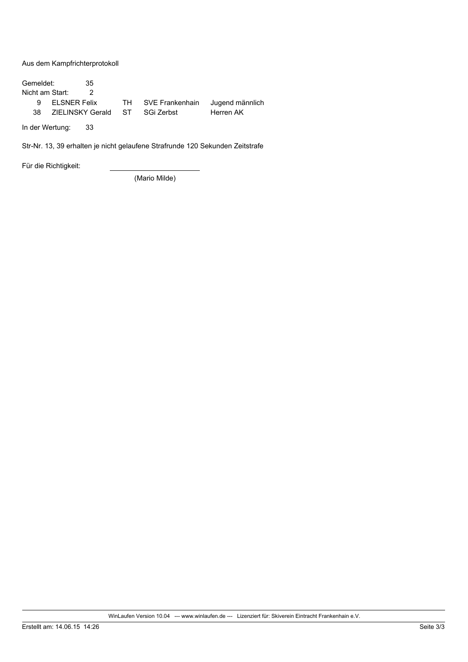Aus dem Kampfrichterprotokoll

Gemeldet:  $35$ Nicht am Start:  $\overline{2}$  $\overline{9}$ **ELSNER Felix TH** SVE Frankenhain Jugend männlich ZIELINSKY Gerald Herren AK 38 **ST** SGi Zerbst

In der Wertung: 33

Str-Nr. 13, 39 erhalten je nicht gelaufene Strafrunde 120 Sekunden Zeitstrafe

Für die Richtigkeit:

(Mario Milde)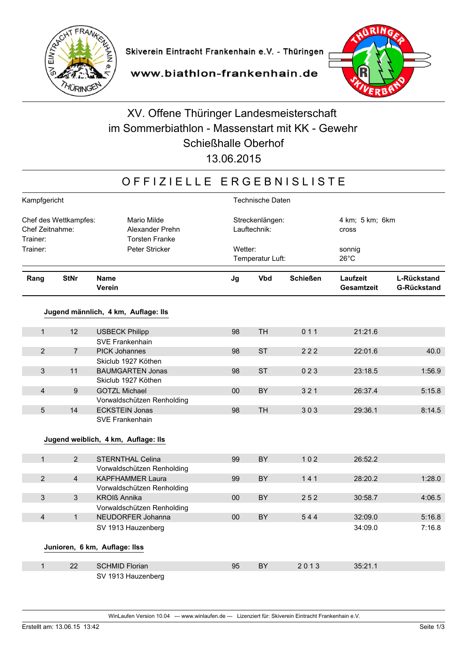

#### www.biathlon-frankenhain.de

# XV. Offene Thüringer Landesmeisterschaft im Sommerbiathlon - Massenstart mit KK - Gewehr **Schießhalle Oberhof**

13.06.2015

#### OFFIZIELLE ERGEBNISLISTE

|                                                      | Kampfgericht   |                                                         |        | <b>Technische Daten</b>         |                 |                               |                                          |  |  |  |
|------------------------------------------------------|----------------|---------------------------------------------------------|--------|---------------------------------|-----------------|-------------------------------|------------------------------------------|--|--|--|
| Chef des Wettkampfes:<br>Chef Zeitnahme:<br>Trainer: |                | Mario Milde<br>Alexander Prehn<br><b>Torsten Franke</b> |        | Streckenlängen:<br>Lauftechnik: |                 | 4 km; 5 km; 6 km<br>cross     |                                          |  |  |  |
| Trainer:                                             | Peter Stricker |                                                         |        | Wetter:<br>Temperatur Luft:     |                 | sonnig<br>$26^{\circ}$ C      |                                          |  |  |  |
| Rang                                                 | <b>StNr</b>    | <b>Name</b><br>Verein                                   | Jg     | <b>Vbd</b>                      | <b>Schießen</b> | Laufzeit<br><b>Gesamtzeit</b> | <b>L-Rückstand</b><br><b>G-Rückstand</b> |  |  |  |
|                                                      |                | Jugend männlich, 4 km, Auflage: Ils                     |        |                                 |                 |                               |                                          |  |  |  |
|                                                      |                |                                                         |        |                                 |                 |                               |                                          |  |  |  |
| $\mathbf{1}$                                         | 12             | <b>USBECK Philipp</b>                                   | 98     | <b>TH</b>                       | 011             | 21:21.6                       |                                          |  |  |  |
| $\overline{2}$                                       | $\overline{7}$ | <b>SVE Frankenhain</b><br><b>PICK Johannes</b>          | 98     | <b>ST</b>                       | 222             | 22:01.6                       | 40.0                                     |  |  |  |
|                                                      |                | Skiclub 1927 Köthen                                     |        |                                 |                 |                               |                                          |  |  |  |
| 3                                                    | 11             | <b>BAUMGARTEN Jonas</b>                                 | 98     | <b>ST</b>                       | 023             | 23:18.5                       | 1:56.9                                   |  |  |  |
|                                                      |                | Skiclub 1927 Köthen                                     |        |                                 |                 |                               |                                          |  |  |  |
| 4                                                    | 9              | <b>GOTZL Michael</b>                                    | 00     | <b>BY</b>                       | 321             | 26:37.4                       | 5:15.8                                   |  |  |  |
|                                                      |                | Vorwaldschützen Renholding                              |        |                                 |                 |                               |                                          |  |  |  |
| 5                                                    | 14             | <b>ECKSTEIN Jonas</b>                                   | 98     | <b>TH</b>                       | 303             | 29:36.1                       | 8:14.5                                   |  |  |  |
|                                                      |                | <b>SVE Frankenhain</b>                                  |        |                                 |                 |                               |                                          |  |  |  |
|                                                      |                | Jugend weiblich, 4 km, Auflage: Ils                     |        |                                 |                 |                               |                                          |  |  |  |
| $\mathbf{1}$                                         | 2 <sup>1</sup> | STERNTHAL Celina<br>Vorwaldschützen Renholding          | 99     | <b>BY</b>                       | 102             | 26:52.2                       |                                          |  |  |  |
| $\overline{2}$                                       | $\overline{4}$ | <b>KAPFHAMMER Laura</b>                                 | 99     | BY                              | 141             | 28:20.2                       | 1:28.0                                   |  |  |  |
|                                                      |                | Vorwaldschützen Renholding                              |        |                                 |                 |                               |                                          |  |  |  |
| 3                                                    | $\mathbf{3}$   | <b>KROIß Annika</b>                                     | 00     | BY                              | 252             | 30:58.7                       | 4:06.5                                   |  |  |  |
|                                                      |                | Vorwaldschützen Renholding                              |        |                                 |                 |                               |                                          |  |  |  |
| 4                                                    | $\mathbf{1}$   | NEUDORFER Johanna                                       | $00\,$ | BY                              | 544             | 32:09.0                       | 5:16.8                                   |  |  |  |
|                                                      |                | SV 1913 Hauzenberg                                      |        |                                 |                 | 34:09.0                       | 7:16.8                                   |  |  |  |
|                                                      |                | Junioren, 6 km, Auflage: Ilss                           |        |                                 |                 |                               |                                          |  |  |  |
| $\mathbf{1}$                                         | 22             | <b>SCHMID Florian</b>                                   | 95     | BY                              | 2013            | 35:21.1                       |                                          |  |  |  |
|                                                      |                | SV 1913 Hauzenberg                                      |        |                                 |                 |                               |                                          |  |  |  |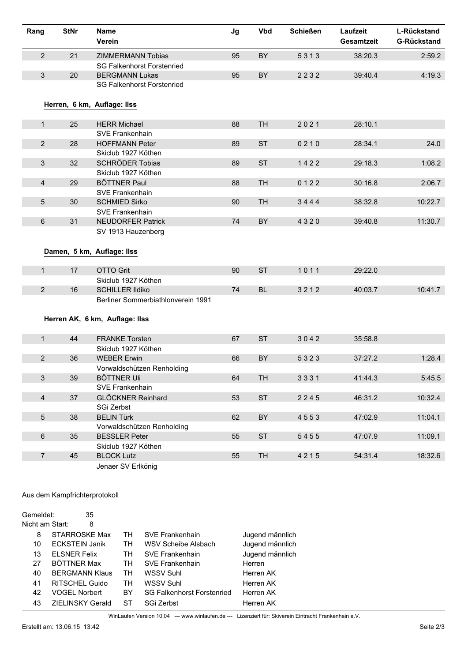| Rang            | <b>StNr</b>                   | <b>Name</b>                                                      |                                    | Jg | <b>Vbd</b>      | <b>Schießen</b> | Laufzeit          | L-Rückstand        |  |
|-----------------|-------------------------------|------------------------------------------------------------------|------------------------------------|----|-----------------|-----------------|-------------------|--------------------|--|
|                 |                               | Verein                                                           |                                    |    |                 |                 | <b>Gesamtzeit</b> | <b>G-Rückstand</b> |  |
| $\overline{2}$  | 21                            | <b>ZIMMERMANN Tobias</b>                                         |                                    | 95 | BY              | 5313            | 38:20.3           | 2:59.2             |  |
|                 |                               |                                                                  | <b>SG Falkenhorst Forstenried</b>  |    |                 |                 |                   |                    |  |
| $\mathbf{3}$    | 20                            | <b>BERGMANN Lukas</b>                                            |                                    | 95 | BY              | 2232            | 39:40.4           | 4:19.3             |  |
|                 |                               |                                                                  | <b>SG Falkenhorst Forstenried</b>  |    |                 |                 |                   |                    |  |
|                 |                               |                                                                  |                                    |    |                 |                 |                   |                    |  |
|                 |                               | Herren, 6 km, Auflage: Ilss                                      |                                    |    |                 |                 |                   |                    |  |
| $\mathbf{1}$    | 25                            | <b>HERR Michael</b>                                              |                                    | 88 | <b>TH</b>       | 2021            | 28:10.1           |                    |  |
|                 |                               | <b>SVE Frankenhain</b>                                           |                                    |    |                 |                 |                   |                    |  |
| $\overline{2}$  | 28                            | <b>HOFFMANN Peter</b>                                            |                                    | 89 | <b>ST</b>       | 0210            | 28:34.1           | 24.0               |  |
|                 |                               | Skiclub 1927 Köthen                                              |                                    |    |                 |                 |                   |                    |  |
| $\mathbf{3}$    | 32                            | <b>SCHRÖDER Tobias</b>                                           |                                    | 89 | <b>ST</b>       | 1422            | 29:18.3           | 1:08.2             |  |
|                 |                               | Skiclub 1927 Köthen                                              |                                    |    |                 |                 |                   |                    |  |
| $\overline{4}$  | 29                            | <b>BÖTTNER Paul</b>                                              |                                    | 88 | <b>TH</b>       | 0122            | 30:16.8           | 2:06.7             |  |
|                 |                               | <b>SVE Frankenhain</b>                                           |                                    |    |                 |                 |                   |                    |  |
| $5\phantom{.}$  | 30                            | <b>SCHMIED Sirko</b>                                             |                                    | 90 | <b>TH</b>       | 3444            | 38:32.8           | 10:22.7            |  |
|                 |                               | SVE Frankenhain                                                  |                                    |    |                 |                 |                   |                    |  |
| 6               | 31                            | <b>NEUDORFER Patrick</b>                                         |                                    | 74 | BY              | 4320            | 39:40.8           | 11:30.7            |  |
|                 |                               | SV 1913 Hauzenberg                                               |                                    |    |                 |                 |                   |                    |  |
|                 |                               |                                                                  |                                    |    |                 |                 |                   |                    |  |
|                 |                               | Damen, 5 km, Auflage: Ilss                                       |                                    |    |                 |                 |                   |                    |  |
| 1               | 17                            | <b>OTTO Grit</b>                                                 |                                    | 90 | <b>ST</b>       | 1011            | 29:22.0           |                    |  |
|                 |                               | Skiclub 1927 Köthen                                              |                                    |    |                 |                 |                   |                    |  |
| $\overline{2}$  | 16                            | <b>SCHILLER Ildiko</b>                                           |                                    | 74 | <b>BL</b>       | 3212            | 40:03.7           | 10:41.7            |  |
|                 |                               |                                                                  | Berliner Sommerbiathlonverein 1991 |    |                 |                 |                   |                    |  |
|                 |                               |                                                                  |                                    |    |                 |                 |                   |                    |  |
|                 |                               | Herren AK, 6 km, Auflage: Ilss                                   |                                    |    |                 |                 |                   |                    |  |
|                 |                               |                                                                  |                                    |    |                 |                 |                   |                    |  |
| $\mathbf{1}$    | 44                            | <b>FRANKE Torsten</b>                                            |                                    | 67 | <b>ST</b>       | 3042            | 35:58.8           |                    |  |
|                 |                               | Skiclub 1927 Köthen                                              |                                    |    |                 |                 |                   |                    |  |
| $\overline{2}$  | 36                            | <b>WEBER Erwin</b>                                               |                                    | 66 | BY              | 5323            | 37:27.2           | 1:28.4             |  |
|                 |                               |                                                                  | Vorwaldschützen Renholding         |    |                 |                 |                   |                    |  |
| 3               | 39                            | <b>BÖTTNER Uli</b>                                               |                                    | 64 | TН              | 3331            | 41:44.3           | 5:45.5             |  |
|                 |                               | <b>SVE Frankenhain</b>                                           |                                    |    |                 |                 |                   |                    |  |
| $\overline{4}$  | 37                            | <b>GLÖCKNER Reinhard</b>                                         |                                    | 53 | <b>ST</b>       | 2245            | 46:31.2           | 10:32.4            |  |
|                 |                               | SGi Zerbst                                                       |                                    |    |                 |                 |                   |                    |  |
| $\sqrt{5}$      | 38                            | <b>BELIN Türk</b>                                                |                                    | 62 | BY              | 4553            | 47:02.9           | 11:04.1            |  |
|                 |                               |                                                                  | Vorwaldschützen Renholding         |    |                 |                 |                   |                    |  |
| $\,6\,$         | 35                            | <b>BESSLER Peter</b>                                             |                                    | 55 | <b>ST</b>       | 5455            | 47:07.9           | 11:09.1            |  |
|                 |                               | Skiclub 1927 Köthen                                              |                                    |    |                 |                 |                   |                    |  |
| $\overline{7}$  | 45                            | <b>BLOCK Lutz</b>                                                |                                    | 55 | TH              | 4215            | 54:31.4           | 18:32.6            |  |
|                 |                               | Jenaer SV Erlkönig                                               |                                    |    |                 |                 |                   |                    |  |
|                 |                               |                                                                  |                                    |    |                 |                 |                   |                    |  |
|                 |                               |                                                                  |                                    |    |                 |                 |                   |                    |  |
|                 | Aus dem Kampfrichterprotokoll |                                                                  |                                    |    |                 |                 |                   |                    |  |
|                 |                               |                                                                  |                                    |    |                 |                 |                   |                    |  |
| Gemeldet:       |                               | 35                                                               |                                    |    |                 |                 |                   |                    |  |
| Nicht am Start: |                               | 8                                                                |                                    |    |                 |                 |                   |                    |  |
| 8               | STARROSKE Max                 | TH                                                               | <b>SVE Frankenhain</b>             |    | Jugend männlich |                 |                   |                    |  |
| 10              |                               | <b>ECKSTEIN Janik</b><br><b>TH</b><br><b>WSV Scheibe Alsbach</b> |                                    |    |                 | Jugend männlich |                   |                    |  |
| 13              | <b>ELSNER Felix</b>           | TH                                                               | SVE Frankenhain                    |    | Jugend männlich |                 |                   |                    |  |
| 27              | <b>BÖTTNER Max</b>            | <b>TH</b>                                                        | SVE Frankenhain                    |    | Herren          |                 |                   |                    |  |

| Gemeldet:       |                         | 35 |    |                                   |                 |
|-----------------|-------------------------|----|----|-----------------------------------|-----------------|
| Nicht am Start: |                         | 8  |    |                                   |                 |
| 8               | STARROSKE Max           |    | TН | SVE Frankenhain                   | Jugend männlich |
| 10              | <b>ECKSTEIN Janik</b>   |    | TН | WSV Scheibe Alsbach               | Jugend männlich |
| 13              | <b>ELSNER Felix</b>     |    | TН | <b>SVE Frankenhain</b>            | Jugend männlich |
| 27              | BÖTTNER Max             |    | TН | <b>SVE Frankenhain</b>            | Herren          |
| 40              | <b>BERGMANN Klaus</b>   |    | TН | WSSV Suhl                         | Herren AK       |
| 41              | <b>RITSCHEL Guido</b>   |    | TН | WSSV Suhl                         | Herren AK       |
| 42              | <b>VOGEL Norbert</b>    |    | BY | <b>SG Falkenhorst Forstenried</b> | Herren AK       |
| 43              | <b>ZIELINSKY Gerald</b> |    | ST | SGi Zerbst                        | Herren AK       |
|                 |                         |    |    |                                   |                 |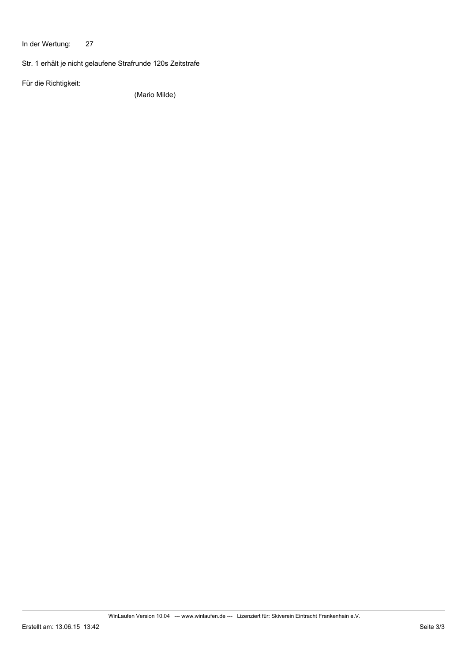In der Wertung: 27

Str. 1 erhält je nicht gelaufene Strafrunde 120s Zeitstrafe

Für die Richtigkeit:

(Mario Milde)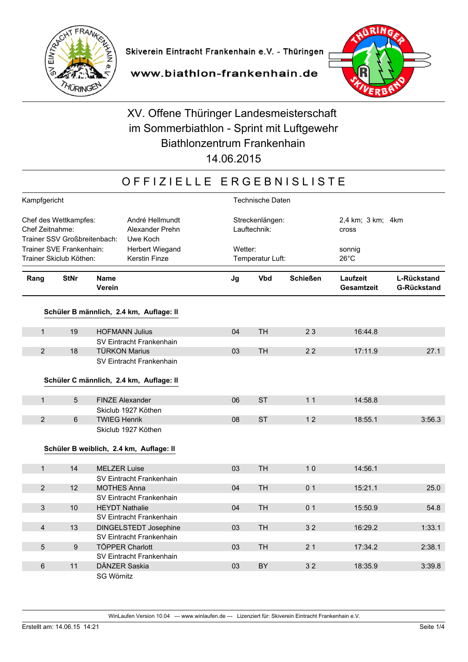



www.biathlon-frankenhain.de

# XV. Offene Thüringer Landesmeisterschaft im Sommerbiathlon - Sprint mit Luftgewehr Biathlonzentrum Frankenhain

14.06.2015

### OFFIZIELLE ERGEBNISLISTE

| Kampfgericht             |                                                                                                                            |                        |                                         | <b>Technische Daten</b> |                                 |                 |                               |                                          |  |
|--------------------------|----------------------------------------------------------------------------------------------------------------------------|------------------------|-----------------------------------------|-------------------------|---------------------------------|-----------------|-------------------------------|------------------------------------------|--|
|                          | Chef des Wettkampfes:<br>André Hellmundt<br>Chef Zeitnahme:<br>Alexander Prehn<br>Trainer SSV Großbreitenbach:<br>Uwe Koch |                        |                                         |                         | Streckenlängen:<br>Lauftechnik: |                 | <b>Cross</b>                  | 2,4 km; 3 km; 4 km                       |  |
| Trainer SVE Frankenhain: |                                                                                                                            |                        | Herbert Wiegand                         |                         | Wetter:                         |                 | sonnig                        |                                          |  |
| Trainer Skiclub Köthen:  |                                                                                                                            |                        | <b>Kerstin Finze</b>                    |                         | Temperatur Luft:                |                 | $26^{\circ}$ C                |                                          |  |
|                          |                                                                                                                            |                        |                                         |                         |                                 |                 |                               |                                          |  |
| Rang                     | <b>StNr</b>                                                                                                                | <b>Name</b><br>Verein  |                                         | Jg                      | <b>Vbd</b>                      | <b>Schießen</b> | Laufzeit<br><b>Gesamtzeit</b> | <b>L-Rückstand</b><br><b>G-Rückstand</b> |  |
|                          |                                                                                                                            |                        | Schüler B männlich, 2.4 km, Auflage: II |                         |                                 |                 |                               |                                          |  |
|                          |                                                                                                                            |                        |                                         |                         |                                 |                 |                               |                                          |  |
| $\mathbf{1}$             | 19                                                                                                                         | <b>HOFMANN Julius</b>  |                                         | 04                      | <b>TH</b>                       | 23              | 16:44.8                       |                                          |  |
|                          |                                                                                                                            |                        | SV Eintracht Frankenhain                |                         |                                 |                 |                               |                                          |  |
| $\overline{2}$           | 18                                                                                                                         | <b>TÜRKON Marius</b>   |                                         | 03                      | <b>TH</b>                       | 22              | 17:11.9                       | 27.1                                     |  |
|                          |                                                                                                                            |                        | SV Eintracht Frankenhain                |                         |                                 |                 |                               |                                          |  |
|                          |                                                                                                                            |                        |                                         |                         |                                 |                 |                               |                                          |  |
|                          |                                                                                                                            |                        | Schüler C männlich, 2.4 km, Auflage: II |                         |                                 |                 |                               |                                          |  |
| $\mathbf{1}$             | 5                                                                                                                          | FINZE Alexander        |                                         | 06                      | <b>ST</b>                       | 11              | 14:58.8                       |                                          |  |
|                          |                                                                                                                            |                        | Skiclub 1927 Köthen                     |                         |                                 |                 |                               |                                          |  |
| $\overline{2}$           | $6\phantom{a}$                                                                                                             | <b>TWIEG Henrik</b>    |                                         | 08                      | <b>ST</b>                       | 12              | 18:55.1                       | 3:56.3                                   |  |
|                          |                                                                                                                            |                        | Skiclub 1927 Köthen                     |                         |                                 |                 |                               |                                          |  |
|                          |                                                                                                                            |                        |                                         |                         |                                 |                 |                               |                                          |  |
|                          |                                                                                                                            |                        | Schüler B weiblich, 2.4 km, Auflage: II |                         |                                 |                 |                               |                                          |  |
|                          |                                                                                                                            |                        |                                         |                         |                                 |                 |                               |                                          |  |
| $\mathbf{1}$             | 14                                                                                                                         | <b>MELZER Luise</b>    |                                         | 03                      | <b>TH</b>                       | 10              | 14:56.1                       |                                          |  |
|                          |                                                                                                                            |                        | SV Eintracht Frankenhain                |                         |                                 |                 |                               |                                          |  |
| $\overline{2}$           | 12                                                                                                                         | <b>MOTHES Anna</b>     |                                         | 04                      | <b>TH</b>                       | 0 <sub>1</sub>  | 15:21.1                       | 25.0                                     |  |
|                          |                                                                                                                            |                        | SV Eintracht Frankenhain                |                         |                                 |                 |                               |                                          |  |
| $\mathfrak{S}$           | 10                                                                                                                         | <b>HEYDT Nathalie</b>  |                                         | 04                      | <b>TH</b>                       | 0 <sub>1</sub>  | 15:50.9                       | 54.8                                     |  |
|                          |                                                                                                                            |                        | SV Eintracht Frankenhain                |                         |                                 |                 |                               |                                          |  |
| 4                        | 13                                                                                                                         |                        | <b>DINGELSTEDT Josephine</b>            | 03                      | <b>TH</b>                       | 32              | 16:29.2                       | 1:33.1                                   |  |
|                          |                                                                                                                            |                        | SV Eintracht Frankenhain                |                         |                                 |                 |                               |                                          |  |
| $\overline{5}$           | $9\,$                                                                                                                      | <b>TÖPPER Charlott</b> |                                         | 03                      | <b>TH</b>                       | 21              | 17:34.2                       | 2:38.1                                   |  |
|                          |                                                                                                                            |                        | SV Eintracht Frankenhain                |                         |                                 |                 |                               |                                          |  |
| 6                        | 11                                                                                                                         | DÄNZER Saskia          |                                         | 03                      | <b>BY</b>                       | 32              | 18:35.9                       | 3:39.8                                   |  |
|                          |                                                                                                                            | <b>SG Wörnitz</b>      |                                         |                         |                                 |                 |                               |                                          |  |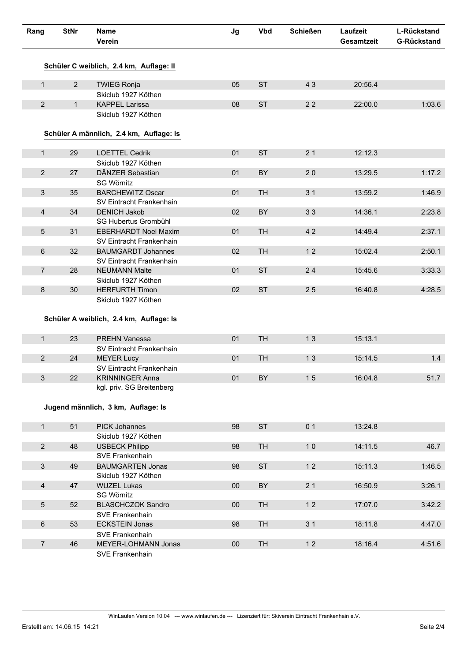| Rang           | <b>StNr</b>    | <b>Name</b><br>Verein                   | Jg     | <b>Vbd</b> | <b>Schießen</b> | Laufzeit<br><b>Gesamtzeit</b> | L-Rückstand<br><b>G-Rückstand</b> |
|----------------|----------------|-----------------------------------------|--------|------------|-----------------|-------------------------------|-----------------------------------|
|                |                | Schüler C weiblich, 2.4 km, Auflage: II |        |            |                 |                               |                                   |
| $\mathbf{1}$   | $\overline{2}$ | <b>TWIEG Ronja</b>                      | 05     | <b>ST</b>  | 43              | 20:56.4                       |                                   |
|                |                | Skiclub 1927 Köthen                     |        |            |                 |                               |                                   |
| $\overline{2}$ | $\mathbf{1}$   | <b>KAPPEL Larissa</b>                   | 08     | <b>ST</b>  | 22              | 22:00.0                       | 1:03.6                            |
|                |                | Skiclub 1927 Köthen                     |        |            |                 |                               |                                   |
|                |                | Schüler A männlich, 2.4 km, Auflage: Is |        |            |                 |                               |                                   |
| $\mathbf{1}$   | 29             | <b>LOETTEL Cedrik</b>                   | 01     | <b>ST</b>  | 21              | 12:12.3                       |                                   |
|                |                | Skiclub 1927 Köthen                     |        |            |                 |                               |                                   |
| $\overline{2}$ | 27             | DÄNZER Sebastian                        | 01     | BY         | 20              | 13:29.5                       | 1:17.2                            |
|                |                | <b>SG Wörnitz</b>                       |        |            |                 |                               |                                   |
| $\mathbf{3}$   | 35             | <b>BARCHEWITZ Oscar</b>                 | 01     | <b>TH</b>  | 3 <sub>1</sub>  | 13:59.2                       | 1:46.9                            |
|                |                | SV Eintracht Frankenhain                |        |            |                 |                               |                                   |
| $\overline{4}$ | 34             | <b>DENICH Jakob</b>                     | 02     | BY         | 33              | 14:36.1                       | 2:23.8                            |
|                |                | SG Hubertus Grombühl                    |        |            |                 |                               |                                   |
| 5              | 31             | <b>EBERHARDT Noel Maxim</b>             | 01     | <b>TH</b>  | 42              | 14:49.4                       | 2:37.1                            |
|                |                | SV Eintracht Frankenhain                |        |            |                 |                               |                                   |
| 6              | 32             | <b>BAUMGARDT Johannes</b>               | 02     | <b>TH</b>  | 12              | 15:02.4                       | 2:50.1                            |
|                |                | SV Eintracht Frankenhain                |        |            |                 |                               |                                   |
| $\overline{7}$ | 28             | <b>NEUMANN Malte</b>                    | 01     | <b>ST</b>  | 24              | 15:45.6                       | 3:33.3                            |
|                |                | Skiclub 1927 Köthen                     |        |            |                 |                               |                                   |
| 8              | 30             | <b>HERFURTH Timon</b>                   | 02     | <b>ST</b>  | 25              | 16:40.8                       | 4:28.5                            |
|                |                | Skiclub 1927 Köthen                     |        |            |                 |                               |                                   |
|                |                | Schüler A weiblich, 2.4 km, Auflage: Is |        |            |                 |                               |                                   |
| $\mathbf{1}$   | 23             | <b>PREHN Vanessa</b>                    | 01     | <b>TH</b>  | 13              | 15:13.1                       |                                   |
|                |                | SV Eintracht Frankenhain                |        |            |                 |                               |                                   |
| $\overline{2}$ | 24             | <b>MEYER Lucy</b>                       | 01     | <b>TH</b>  | 13              | 15:14.5                       | 1.4                               |
|                |                | SV Eintracht Frankenhain                |        |            |                 |                               |                                   |
| 3              | 22             | <b>KRINNINGER Anna</b>                  | 01     | BY         | 15              | 16:04.8                       | 51.7                              |
|                |                | kgl. priv. SG Breitenberg               |        |            |                 |                               |                                   |
|                |                |                                         |        |            |                 |                               |                                   |
|                |                | Jugend männlich, 3 km, Auflage: Is      |        |            |                 |                               |                                   |
|                |                |                                         |        |            |                 |                               |                                   |
| 1              | 51             | <b>PICK Johannes</b>                    | 98     | <b>ST</b>  | 0 <sub>1</sub>  | 13:24.8                       |                                   |
|                |                | Skiclub 1927 Köthen                     |        |            |                 |                               |                                   |
| $\overline{2}$ | 48             | <b>USBECK Philipp</b>                   | 98     | <b>TH</b>  | 10              | 14:11.5                       | 46.7                              |
|                |                | SVE Frankenhain                         |        |            |                 |                               |                                   |
| $\mathbf{3}$   | 49             | <b>BAUMGARTEN Jonas</b>                 | 98     | <b>ST</b>  | 12              | 15:11.3                       | 1:46.5                            |
|                |                | Skiclub 1927 Köthen                     |        |            |                 |                               |                                   |
| $\overline{4}$ | 47             | <b>WUZEL Lukas</b>                      | $00\,$ | BY         | 21              | 16:50.9                       | 3:26.1                            |
|                |                | SG Wörnitz                              |        |            |                 |                               |                                   |
| 5              | 52             | <b>BLASCHCZOK Sandro</b>                | $00\,$ | <b>TH</b>  | 12              | 17:07.0                       | 3:42.2                            |
|                |                | SVE Frankenhain                         |        |            |                 |                               |                                   |
| $6\,$          | 53             | <b>ECKSTEIN Jonas</b>                   | 98     | <b>TH</b>  | 31              | 18:11.8                       | 4:47.0                            |
|                |                | SVE Frankenhain                         |        |            |                 |                               |                                   |
| $\overline{7}$ | 46             | MEYER-LOHMANN Jonas<br>SVE Frankenhain  | $00\,$ | TH         | 12              | 18:16.4                       | 4:51.6                            |
|                |                |                                         |        |            |                 |                               |                                   |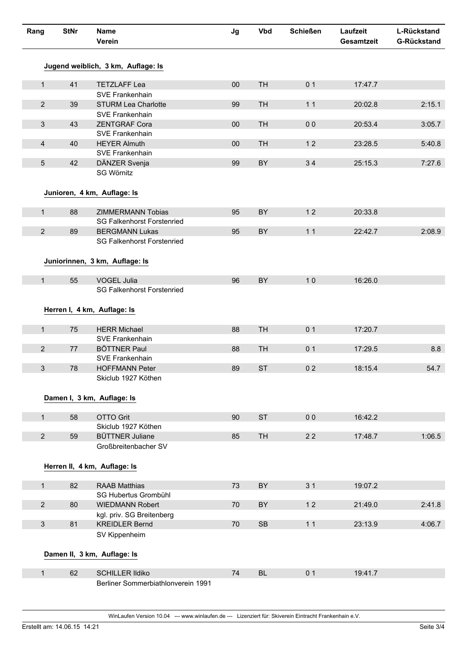| Rang           | <b>StNr</b> | <b>Name</b><br>Verein                                               | Jg     | <b>Vbd</b> | <b>Schießen</b> | Laufzeit<br>Gesamtzeit | L-Rückstand<br><b>G-Rückstand</b> |
|----------------|-------------|---------------------------------------------------------------------|--------|------------|-----------------|------------------------|-----------------------------------|
|                |             | Jugend weiblich, 3 km, Auflage: Is                                  |        |            |                 |                        |                                   |
| $\mathbf{1}$   | 41          | <b>TETZLAFF Lea</b>                                                 | $00\,$ | <b>TH</b>  | 0 <sub>1</sub>  | 17:47.7                |                                   |
|                |             | SVE Frankenhain                                                     |        |            |                 |                        |                                   |
| $\overline{2}$ | 39          | <b>STURM Lea Charlotte</b>                                          | 99     | <b>TH</b>  | 11              | 20:02.8                | 2:15.1                            |
|                |             | SVE Frankenhain                                                     |        |            |                 |                        |                                   |
| $\mathbf{3}$   | 43          | <b>ZENTGRAF Cora</b>                                                | $00\,$ | <b>TH</b>  | 0 <sub>0</sub>  | 20:53.4                | 3:05.7                            |
|                |             | SVE Frankenhain                                                     |        |            |                 |                        |                                   |
| $\overline{4}$ | 40          | <b>HEYER Almuth</b>                                                 | 00     | <b>TH</b>  | 12              | 23:28.5                | 5:40.8                            |
|                |             | SVE Frankenhain                                                     |        |            |                 |                        |                                   |
| 5              | 42          | DÄNZER Svenja<br>SG Wörnitz                                         | 99     | BY         | 34              | 25:15.3                | 7:27.6                            |
|                |             | Junioren, 4 km, Auflage: Is                                         |        |            |                 |                        |                                   |
| $\mathbf{1}$   | 88          | <b>ZIMMERMANN Tobias</b>                                            | 95     | BY         | 12              | 20:33.8                |                                   |
|                |             | <b>SG Falkenhorst Forstenried</b>                                   |        |            |                 |                        |                                   |
| $\overline{2}$ | 89          | <b>BERGMANN Lukas</b>                                               | 95     | BY         | 11              | 22:42.7                | 2:08.9                            |
|                |             | <b>SG Falkenhorst Forstenried</b><br>Juniorinnen, 3 km, Auflage: Is |        |            |                 |                        |                                   |
| 1              | 55          | <b>VOGEL Julia</b>                                                  | 96     | BY         | 10              | 16:26.0                |                                   |
|                |             | <b>SG Falkenhorst Forstenried</b>                                   |        |            |                 |                        |                                   |
|                |             | Herren I, 4 km, Auflage: Is                                         |        |            |                 |                        |                                   |
| $\mathbf{1}$   | 75          | <b>HERR Michael</b>                                                 | 88     | <b>TH</b>  | 0 <sub>1</sub>  | 17:20.7                |                                   |
| $\overline{2}$ |             | SVE Frankenhain                                                     |        | <b>TH</b>  | 0 <sub>1</sub>  |                        |                                   |
|                | 77          | <b>BÖTTNER Paul</b><br>SVE Frankenhain                              | 88     |            |                 | 17:29.5                | 8.8                               |
| 3              | 78          | <b>HOFFMANN Peter</b>                                               | 89     | <b>ST</b>  | 0 <sub>2</sub>  | 18:15.4                | 54.7                              |
|                |             | Skiclub 1927 Köthen                                                 |        |            |                 |                        |                                   |
|                |             | Damen I, 3 km, Auflage: Is                                          |        |            |                 |                        |                                   |
| $\mathbf{1}$   | 58          | <b>OTTO Grit</b>                                                    | 90     | <b>ST</b>  | 0 <sub>0</sub>  | 16:42.2                |                                   |
|                |             | Skiclub 1927 Köthen                                                 |        |            |                 |                        |                                   |
| $\overline{2}$ | 59          | <b>BÜTTNER Juliane</b><br>Großbreitenbacher SV                      | 85     | TH         | 22              | 17:48.7                | 1:06.5                            |
|                |             | Herren II, 4 km, Auflage: Is                                        |        |            |                 |                        |                                   |
| $\mathbf{1}$   | 82          | <b>RAAB Matthias</b>                                                | 73     | BY         | 3 <sub>1</sub>  | 19:07.2                |                                   |
|                |             | SG Hubertus Grombühl                                                |        |            |                 |                        |                                   |
| $\overline{2}$ | 80          | <b>WIEDMANN Robert</b>                                              | 70     | BY         | 12              | 21:49.0                | 2:41.8                            |
|                |             | kgl. priv. SG Breitenberg                                           |        |            |                 |                        |                                   |
| $\mathbf{3}$   | 81          | <b>KREIDLER Bernd</b>                                               | 70     | ${\sf SB}$ | 11              | 23:13.9                | 4:06.7                            |
|                |             | SV Kippenheim                                                       |        |            |                 |                        |                                   |
|                |             | Damen II, 3 km, Auflage: Is                                         |        |            |                 |                        |                                   |
| $\mathbf{1}$   | 62          | <b>SCHILLER Ildiko</b>                                              | 74     | <b>BL</b>  | 0 <sub>1</sub>  | 19:41.7                |                                   |
|                |             | Berliner Sommerbiathlonverein 1991                                  |        |            |                 |                        |                                   |
|                |             |                                                                     |        |            |                 |                        |                                   |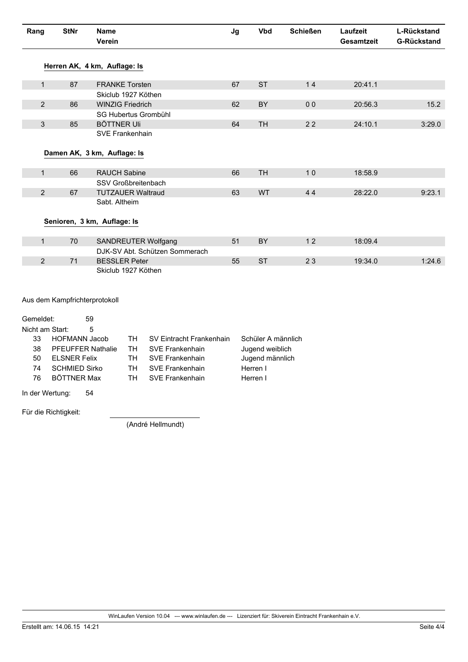| Rang            | <b>StNr</b>                   | <b>Name</b><br>Verein                 | Jg | <b>Vbd</b>         | <b>Schießen</b> | Laufzeit<br><b>Gesamtzeit</b> | L-Rückstand<br><b>G-Rückstand</b> |
|-----------------|-------------------------------|---------------------------------------|----|--------------------|-----------------|-------------------------------|-----------------------------------|
|                 |                               | Herren AK, 4 km, Auflage: Is          |    |                    |                 |                               |                                   |
| $\mathbf{1}$    | 87                            | <b>FRANKE Torsten</b>                 | 67 | <b>ST</b>          | 14              | 20:41.1                       |                                   |
|                 |                               | Skiclub 1927 Köthen                   |    |                    |                 |                               |                                   |
| $\overline{2}$  | 86                            | <b>WINZIG Friedrich</b>               | 62 | BY                 | 0 <sub>0</sub>  | 20:56.3                       | 15.2                              |
|                 |                               | SG Hubertus Grombühl                  |    |                    |                 |                               |                                   |
| $\mathfrak{S}$  | 85                            | <b>BÖTTNER Uli</b>                    | 64 | <b>TH</b>          | 22              | 24:10.1                       | 3:29.0                            |
|                 |                               | SVE Frankenhain                       |    |                    |                 |                               |                                   |
|                 |                               |                                       |    |                    |                 |                               |                                   |
|                 |                               | Damen AK, 3 km, Auflage: Is           |    |                    |                 |                               |                                   |
|                 |                               |                                       |    |                    |                 |                               |                                   |
| $\mathbf{1}$    | 66                            | <b>RAUCH Sabine</b>                   | 66 | <b>TH</b>          | 10              | 18:58.9                       |                                   |
|                 |                               | SSV Großbreitenbach                   |    |                    |                 |                               |                                   |
| $\overline{2}$  | 67                            | <b>TUTZAUER Waltraud</b>              | 63 | <b>WT</b>          | 44              | 28:22.0                       | 9:23.1                            |
|                 |                               | Sabt. Altheim                         |    |                    |                 |                               |                                   |
|                 |                               |                                       |    |                    |                 |                               |                                   |
|                 |                               | Senioren, 3 km, Auflage: Is           |    |                    |                 |                               |                                   |
|                 |                               |                                       |    |                    |                 |                               |                                   |
| $\mathbf{1}$    | 70                            | SANDREUTER Wolfgang                   | 51 | BY                 | 12              | 18:09.4                       |                                   |
|                 |                               | DJK-SV Abt. Schützen Sommerach        |    |                    |                 |                               |                                   |
| $\overline{2}$  | 71                            | <b>BESSLER Peter</b>                  | 55 | <b>ST</b>          | 23              | 19:34.0                       | 1:24.6                            |
|                 |                               | Skiclub 1927 Köthen                   |    |                    |                 |                               |                                   |
|                 |                               |                                       |    |                    |                 |                               |                                   |
|                 |                               |                                       |    |                    |                 |                               |                                   |
|                 | Aus dem Kampfrichterprotokoll |                                       |    |                    |                 |                               |                                   |
|                 |                               |                                       |    |                    |                 |                               |                                   |
| Gemeldet:       |                               | 59                                    |    |                    |                 |                               |                                   |
| Nicht am Start: |                               | 5                                     |    |                    |                 |                               |                                   |
| 33              | <b>HOFMANN Jacob</b>          | <b>TH</b><br>SV Eintracht Frankenhain |    | Schüler A männlich |                 |                               |                                   |
| 38              | <b>PFEUFFER Nathalie</b>      | <b>SVE Frankenhain</b><br>TH          |    | Jugend weiblich    |                 |                               |                                   |

Jugend männlich

Herren I

Herren I

| HOFMANN Jacob            |     | <b>TH</b> SV Eintracht Frankenhain |
|--------------------------|-----|------------------------------------|
| <b>PFEUFFER Nathalie</b> |     | <b>TH</b> SVE Frankenhain          |
| <b>ELSNER Felix</b>      | TH. | <b>SVE Frankenhain</b>             |
| <b>SCHMIED Sirko</b>     | TH. | <b>SVE Frankenhain</b>             |
| <b>BÖTTNER Max</b>       | TH. | <b>SVE Frankenhain</b>             |

In der Wertung: 54

Für die Richtigkeit:

50

74

76

(André Hellmundt)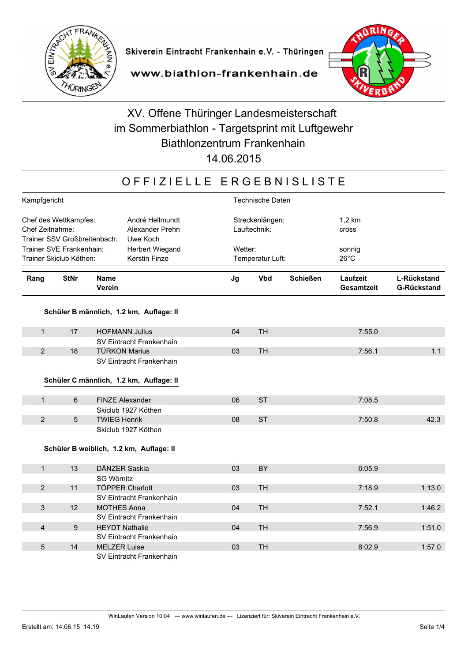

www.biathlon-frankenhain.de



## XV. Offene Thüringer Landesmeisterschaft im Sommerbiathlon - Targetsprint mit Luftgewehr Biathlonzentrum Frankenhain

14.06.2015

### OFFIZIELLE ERGEBNISLISTE

| Kampfgericht                                                             |                  |                                                | <b>Technische Daten</b> |                                 |                 |                        |                                          |  |
|--------------------------------------------------------------------------|------------------|------------------------------------------------|-------------------------|---------------------------------|-----------------|------------------------|------------------------------------------|--|
| Chef des Wettkampfes:<br>Chef Zeitnahme:<br>Trainer SSV Großbreitenbach: |                  | André Hellmundt<br>Alexander Prehn<br>Uwe Koch |                         | Streckenlängen:<br>Lauftechnik: |                 |                        |                                          |  |
| Trainer SVE Frankenhain:                                                 |                  | Herbert Wiegand                                | Wetter:                 |                                 |                 | sonnig                 |                                          |  |
| Trainer Skiclub Köthen:                                                  |                  | Kerstin Finze                                  |                         | Temperatur Luft:                |                 | $26^{\circ}$ C         |                                          |  |
| Rang                                                                     | <b>StNr</b>      | <b>Name</b><br>Verein                          | Jg                      | <b>Vbd</b>                      | <b>Schießen</b> | Laufzeit<br>Gesamtzeit | <b>L-Rückstand</b><br><b>G-Rückstand</b> |  |
|                                                                          |                  | Schüler B männlich, 1.2 km, Auflage: II        |                         |                                 |                 |                        |                                          |  |
| $\mathbf{1}$                                                             | 17               | <b>HOFMANN Julius</b>                          | 04                      | <b>TH</b>                       |                 | 7:55.0                 |                                          |  |
|                                                                          |                  | SV Eintracht Frankenhain                       |                         |                                 |                 |                        |                                          |  |
| 2                                                                        | 18               | <b>TÜRKON Marius</b>                           | 03                      | <b>TH</b>                       |                 | 7:56.1                 | 1.1                                      |  |
|                                                                          |                  | SV Eintracht Frankenhain                       |                         |                                 |                 |                        |                                          |  |
|                                                                          |                  | Schüler C männlich, 1.2 km, Auflage: II        |                         |                                 |                 |                        |                                          |  |
|                                                                          |                  |                                                |                         |                                 |                 |                        |                                          |  |
| $\mathbf{1}$                                                             | 6                | <b>FINZE Alexander</b>                         | 06                      | <b>ST</b>                       |                 | 7:08.5                 |                                          |  |
|                                                                          |                  | Skiclub 1927 Köthen                            |                         |                                 |                 |                        |                                          |  |
| $\overline{2}$                                                           | 5                | <b>TWIEG Henrik</b>                            | 08                      | <b>ST</b>                       |                 | 7:50.8                 | 42.3                                     |  |
|                                                                          |                  | Skiclub 1927 Köthen                            |                         |                                 |                 |                        |                                          |  |
|                                                                          |                  | Schüler B weiblich, 1.2 km, Auflage: II        |                         |                                 |                 |                        |                                          |  |
|                                                                          |                  |                                                |                         |                                 |                 |                        |                                          |  |
| $\mathbf{1}$                                                             | 13               | DÄNZER Saskia                                  | 03                      | BY                              |                 | 6:05.9                 |                                          |  |
|                                                                          |                  | SG Wörnitz                                     |                         |                                 |                 |                        |                                          |  |
| $\overline{2}$                                                           | 11               | <b>TÖPPER Charlott</b>                         | 03                      | <b>TH</b>                       |                 | 7:18.9                 | 1:13.0                                   |  |
|                                                                          |                  | SV Eintracht Frankenhain                       |                         |                                 |                 |                        |                                          |  |
| $\sqrt{3}$                                                               | 12               | <b>MOTHES Anna</b>                             | 04                      | <b>TH</b>                       |                 | 7:52.1                 | 1:46.2                                   |  |
|                                                                          |                  | SV Eintracht Frankenhain                       |                         |                                 |                 |                        |                                          |  |
| $\overline{4}$                                                           | $\boldsymbol{9}$ | <b>HEYDT Nathalie</b>                          | 04                      | <b>TH</b>                       |                 | 7:56.9                 | 1:51.0                                   |  |
|                                                                          |                  | SV Eintracht Frankenhain                       |                         |                                 |                 |                        |                                          |  |
| 5                                                                        | 14               | <b>MELZER Luise</b>                            | 03                      | <b>TH</b>                       |                 | 8:02.9                 | 1:57.0                                   |  |
|                                                                          |                  | SV Eintracht Frankenhain                       |                         |                                 |                 |                        |                                          |  |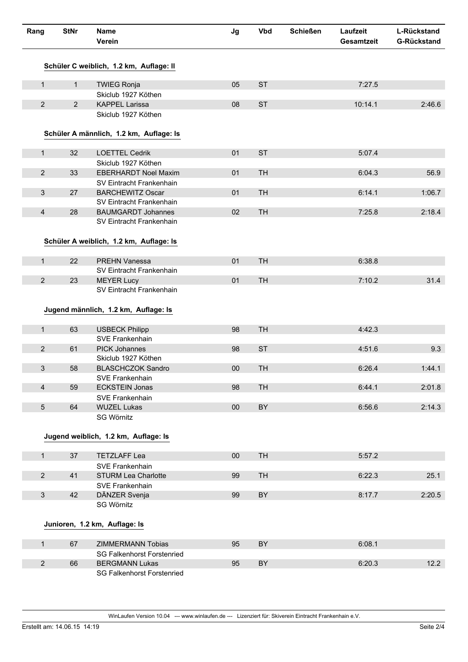| Rang            | <b>StNr</b>    | Name<br>Verein                                      | Jg     | <b>Vbd</b> | <b>Schießen</b> | Laufzeit<br>Gesamtzeit | L-Rückstand<br><b>G-Rückstand</b> |
|-----------------|----------------|-----------------------------------------------------|--------|------------|-----------------|------------------------|-----------------------------------|
|                 |                | Schüler C weiblich, 1.2 km, Auflage: II             |        |            |                 |                        |                                   |
| $\mathbf{1}$    | $\mathbf{1}$   | <b>TWIEG Ronja</b>                                  | 05     | <b>ST</b>  |                 | 7:27.5                 |                                   |
|                 |                | Skiclub 1927 Köthen                                 |        |            |                 |                        |                                   |
| $\overline{2}$  | $\overline{2}$ | <b>KAPPEL Larissa</b>                               | 08     | <b>ST</b>  |                 | 10:14.1                | 2:46.6                            |
|                 |                | Skiclub 1927 Köthen                                 |        |            |                 |                        |                                   |
|                 |                | Schüler A männlich, 1.2 km, Auflage: Is             |        |            |                 |                        |                                   |
| $\mathbf{1}$    | 32             | <b>LOETTEL Cedrik</b>                               | 01     | <b>ST</b>  |                 | 5:07.4                 |                                   |
|                 |                | Skiclub 1927 Köthen                                 |        |            |                 |                        |                                   |
| $\overline{2}$  | 33             | <b>EBERHARDT Noel Maxim</b>                         | 01     | <b>TH</b>  |                 | 6:04.3                 | 56.9                              |
|                 |                | SV Eintracht Frankenhain                            |        |            |                 |                        |                                   |
| 3               | 27             | <b>BARCHEWITZ Oscar</b><br>SV Eintracht Frankenhain | 01     | <b>TH</b>  |                 | 6:14.1                 | 1:06.7                            |
| $\overline{4}$  | 28             | <b>BAUMGARDT Johannes</b>                           | 02     | <b>TH</b>  |                 | 7:25.8                 | 2:18.4                            |
|                 |                | SV Eintracht Frankenhain                            |        |            |                 |                        |                                   |
|                 |                | Schüler A weiblich, 1.2 km, Auflage: Is             |        |            |                 |                        |                                   |
| $\mathbf{1}$    | 22             | PREHN Vanessa                                       | 01     | <b>TH</b>  |                 | 6:38.8                 |                                   |
|                 |                | SV Eintracht Frankenhain                            |        |            |                 |                        |                                   |
| $\overline{2}$  | 23             | <b>MEYER Lucy</b>                                   | 01     | <b>TH</b>  |                 | 7:10.2                 | 31.4                              |
|                 |                | SV Eintracht Frankenhain                            |        |            |                 |                        |                                   |
|                 |                |                                                     |        |            |                 |                        |                                   |
|                 |                | Jugend männlich, 1.2 km, Auflage: Is                |        |            |                 |                        |                                   |
| $\mathbf{1}$    | 63             | <b>USBECK Philipp</b>                               | 98     | <b>TH</b>  |                 | 4:42.3                 |                                   |
|                 |                | SVE Frankenhain                                     |        |            |                 |                        |                                   |
| $\overline{2}$  | 61             | <b>PICK Johannes</b>                                | 98     | <b>ST</b>  |                 | 4:51.6                 | 9.3                               |
|                 |                | Skiclub 1927 Köthen                                 |        |            |                 |                        |                                   |
| 3               | 58             | <b>BLASCHCZOK Sandro</b>                            | 00     | <b>TH</b>  |                 | 6:26.4                 | 1:44.1                            |
|                 |                | SVE Frankenhain                                     |        |            |                 |                        |                                   |
| $\overline{4}$  | 59             | <b>ECKSTEIN Jonas</b>                               | 98     | <b>TH</b>  |                 | 6:44.1                 | 2:01.8                            |
|                 |                | SVE Frankenhain                                     |        |            |                 |                        |                                   |
| $5\phantom{.0}$ | 64             | <b>WUZEL Lukas</b>                                  | $00\,$ | BY         |                 | 6:56.6                 | 2:14.3                            |
|                 |                | SG Wörnitz                                          |        |            |                 |                        |                                   |
|                 |                |                                                     |        |            |                 |                        |                                   |
|                 |                | Jugend weiblich, 1.2 km, Auflage: Is                |        |            |                 |                        |                                   |
| $\mathbf{1}$    | 37             | <b>TETZLAFF Lea</b>                                 | $00\,$ | <b>TH</b>  |                 | 5:57.2                 |                                   |
|                 |                | SVE Frankenhain                                     |        |            |                 |                        |                                   |
| $\overline{2}$  | 41             | <b>STURM Lea Charlotte</b>                          | 99     | <b>TH</b>  |                 | 6:22.3                 | 25.1                              |
|                 |                | SVE Frankenhain                                     |        |            |                 |                        |                                   |
| $\mathfrak{S}$  | 42             | DÄNZER Svenja                                       | 99     | BY         |                 | 8:17.7                 | 2:20.5                            |
|                 |                | SG Wörnitz                                          |        |            |                 |                        |                                   |
|                 |                | Junioren, 1.2 km, Auflage: Is                       |        |            |                 |                        |                                   |
|                 |                |                                                     |        |            |                 |                        |                                   |
| $\mathbf{1}$    | 67             | ZIMMERMANN Tobias                                   | 95     | BY         |                 | 6:08.1                 |                                   |
|                 |                | <b>SG Falkenhorst Forstenried</b>                   |        |            |                 |                        |                                   |
| $\overline{2}$  | 66             | <b>BERGMANN Lukas</b>                               | 95     | BY         |                 | 6:20.3                 | 12.2                              |
|                 |                | <b>SG Falkenhorst Forstenried</b>                   |        |            |                 |                        |                                   |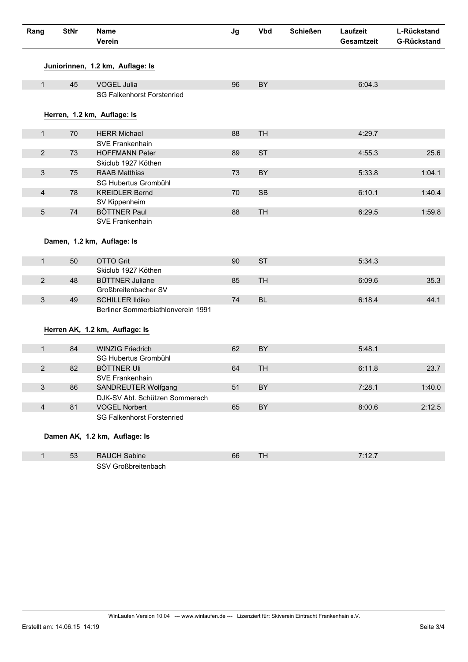| Rang           | <b>StNr</b> | <b>Name</b><br>Verein                                 | Jg | <b>Vbd</b> | <b>Schießen</b> | Laufzeit<br>Gesamtzeit | L-Rückstand<br><b>G-Rückstand</b> |
|----------------|-------------|-------------------------------------------------------|----|------------|-----------------|------------------------|-----------------------------------|
|                |             | Juniorinnen, 1.2 km, Auflage: Is                      |    |            |                 |                        |                                   |
| $\mathbf{1}$   | 45          | VOGEL Julia                                           | 96 | BY         |                 | 6:04.3                 |                                   |
|                |             | <b>SG Falkenhorst Forstenried</b>                     |    |            |                 |                        |                                   |
|                |             | Herren, 1.2 km, Auflage: Is                           |    |            |                 |                        |                                   |
| $\mathbf{1}$   | 70          | <b>HERR Michael</b>                                   | 88 | <b>TH</b>  |                 | 4:29.7                 |                                   |
|                |             | SVE Frankenhain                                       |    |            |                 |                        |                                   |
| $\overline{2}$ | 73          | <b>HOFFMANN Peter</b>                                 | 89 | <b>ST</b>  |                 | 4:55.3                 | 25.6                              |
|                |             | Skiclub 1927 Köthen                                   |    |            |                 |                        |                                   |
| $\mathbf{3}$   | 75          | <b>RAAB Matthias</b>                                  | 73 | BY         |                 | 5:33.8                 | 1:04.1                            |
|                |             | SG Hubertus Grombühl                                  |    |            |                 |                        |                                   |
| $\overline{4}$ | 78          | <b>KREIDLER Bernd</b>                                 | 70 | SB         |                 | 6:10.1                 | 1:40.4                            |
|                |             | SV Kippenheim                                         |    |            |                 |                        |                                   |
| $\overline{5}$ | 74          | <b>BÖTTNER Paul</b>                                   | 88 | <b>TH</b>  |                 | 6:29.5                 | 1:59.8                            |
|                |             | SVE Frankenhain                                       |    |            |                 |                        |                                   |
|                |             |                                                       |    |            |                 |                        |                                   |
|                |             | Damen, 1.2 km, Auflage: Is                            |    |            |                 |                        |                                   |
| $\mathbf{1}$   | 50          | <b>OTTO Grit</b>                                      | 90 | <b>ST</b>  |                 | 5:34.3                 |                                   |
|                |             | Skiclub 1927 Köthen                                   |    |            |                 |                        |                                   |
| $\overline{2}$ | 48          | <b>BÜTTNER Juliane</b>                                | 85 | <b>TH</b>  |                 | 6:09.6                 | 35.3                              |
|                |             | Großbreitenbacher SV                                  |    |            |                 |                        |                                   |
| $\mathbf{3}$   | 49          | <b>SCHILLER Ildiko</b>                                | 74 | <b>BL</b>  |                 | 6:18.4                 | 44.1                              |
|                |             | Berliner Sommerbiathlonverein 1991                    |    |            |                 |                        |                                   |
|                |             |                                                       |    |            |                 |                        |                                   |
|                |             | Herren AK, 1.2 km, Auflage: Is                        |    |            |                 |                        |                                   |
|                |             |                                                       |    |            |                 |                        |                                   |
| $\mathbf{1}$   | 84          | <b>WINZIG Friedrich</b>                               | 62 | BY         |                 | 5:48.1                 |                                   |
|                |             | SG Hubertus Grombühl                                  |    |            |                 |                        |                                   |
| $\overline{2}$ | 82          | <b>BÖTTNER Uli</b>                                    | 64 | <b>TH</b>  |                 | 6:11.8                 | 23.7                              |
| $\mathbf{3}$   | 86          | SVE Frankenhain                                       | 51 | BY         |                 | 7:28.1                 | 1:40.0                            |
|                |             | SANDREUTER Wolfgang<br>DJK-SV Abt. Schützen Sommerach |    |            |                 |                        |                                   |
| $\overline{4}$ | 81          | <b>VOGEL Norbert</b>                                  | 65 | BY         |                 | 8:00.6                 | 2:12.5                            |
|                |             | <b>SG Falkenhorst Forstenried</b>                     |    |            |                 |                        |                                   |
|                |             |                                                       |    |            |                 |                        |                                   |
|                |             | Damen AK, 1.2 km, Auflage: Is                         |    |            |                 |                        |                                   |
|                |             |                                                       |    |            |                 |                        |                                   |
| $\mathbf{1}$   | 53          | RAUCH Sabine                                          | 66 | <b>TH</b>  |                 | 7:12.7                 |                                   |
|                |             | SSV Großbreitenbach                                   |    |            |                 |                        |                                   |